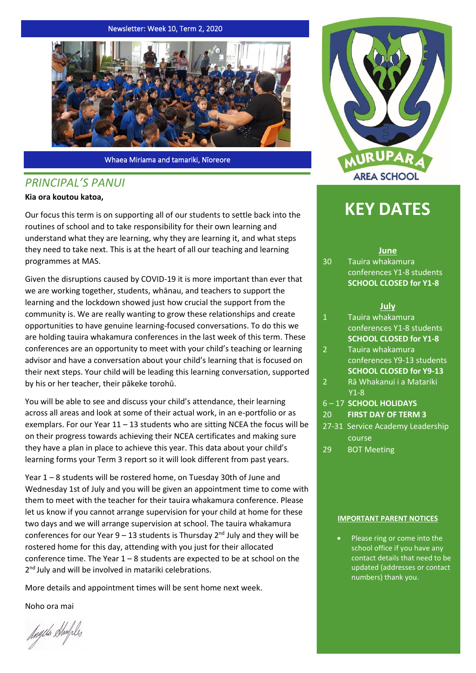#### Newsletter: Week 10, Term 2, 2020



Whaea Miriama and tamariki, Nīoreore

# *PRINCIPAL'S PANUI*

### **Kia ora koutou katoa,**

Our focus this term is on supporting all of our students to settle back into the routines of school and to take responsibility for their own learning and understand what they are learning, why they are learning it, and what steps they need to take next. This is at the heart of all our teaching and learning programmes at MAS.

Given the disruptions caused by COVID-19 it is more important than ever that we are working together, students, whānau, and teachers to support the learning and the lockdown showed just how crucial the support from the community is. We are really wanting to grow these relationships and create opportunities to have genuine learning-focused conversations. To do this we are holding tauira whakamura conferences in the last week of this term. These conferences are an opportunity to meet with your child's teaching or learning advisor and have a conversation about your child's learning that is focused on their next steps. Your child will be leading this learning conversation, supported by his or her teacher, their pākeke torohū.

You will be able to see and discuss your child's attendance, their learning across all areas and look at some of their actual work, in an e-portfolio or as exemplars. For our Year 11 – 13 students who are sitting NCEA the focus will be on their progress towards achieving their NCEA certificates and making sure they have a plan in place to achieve this year. This data about your child's learning forms your Term 3 report so it will look different from past years.

Year 1 – 8 students will be rostered home, on Tuesday 30th of June and Wednesday 1st of July and you will be given an appointment time to come with them to meet with the teacher for their tauira whakamura conference. Please let us know if you cannot arrange supervision for your child at home for these two days and we will arrange supervision at school. The tauira whakamura conferences for our Year  $9 - 13$  students is Thursday  $2<sup>nd</sup>$  July and they will be rostered home for this day, attending with you just for their allocated conference time. The Year 1 – 8 students are expected to be at school on the 2<sup>nd</sup> July and will be involved in matariki celebrations.

More details and appointment times will be sent home next week.

Noho ora mai

Angela Shufiles



# **KEY DATES**

#### **June**

30 Tauira whakamura conferences Y1-8 students **SCHOOL CLOSED for Y1-8**

#### **July**

- 1 Tauira whakamura conferences Y1-8 students **SCHOOL CLOSED for Y1-8**
- 2 Tauira whakamura conferences Y9-13 students **SCHOOL CLOSED for Y9-13**
- 2 Rā Whakanui i a Matariki Y1-8
- 6 17 **SCHOOL HOLIDAYS**
- 20 **FIRST DAY OF TERM 3**
- 27-31 Service Academy Leadership course
- 29 BOT Meeting

#### **IMPORTANT PARENT NOTICES**

Please ring or come into the school office if you have any contact details that need to be updated (addresses or contact numbers) thank you.